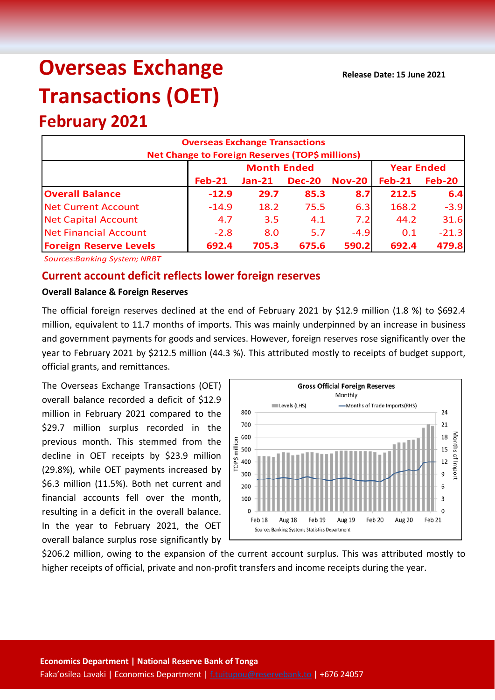# **Overseas Exchange Transactions (OET)**

## **February 2021**

| <b>Overseas Exchange Transactions</b><br><b>Net Change to Foreign Reserves (TOP\$ millions)</b> |          |          |                   |               |          |               |  |  |
|-------------------------------------------------------------------------------------------------|----------|----------|-------------------|---------------|----------|---------------|--|--|
|                                                                                                 |          |          | <b>Year Ended</b> |               |          |               |  |  |
|                                                                                                 | $Feb-21$ | $Jan-21$ | <b>Dec-20</b>     | <b>Nov-20</b> | $Feb-21$ | <b>Feb-20</b> |  |  |
| <b>Overall Balance</b>                                                                          | $-12.9$  | 29.7     | 85.3              | 8.7           | 212.5    | 6.4           |  |  |
| <b>Net Current Account</b>                                                                      | $-14.9$  | 18.2     | 75.5              | 6.3           | 168.2    | $-3.9$        |  |  |
| <b>Net Capital Account</b>                                                                      | 4.7      | 3.5      | 4.1               | 7.2           | 44.2     | 31.6          |  |  |
| <b>Net Financial Account</b>                                                                    | $-2.8$   | 8.0      | 5.7               | $-4.9$        | 0.1      | $-21.3$       |  |  |
| <b>Foreign Reserve Levels</b>                                                                   | 692.4    | 705.3    | 675.6             | 590.2         | 692.4    | 479.8         |  |  |

*Sources:Banking System; NRBT*

### **Current account deficit reflects lower foreign reserves**

#### **Overall Balance & Foreign Reserves**

The official foreign reserves declined at the end of February 2021 by \$12.9 million (1.8 %) to \$692.4 million, equivalent to 11.7 months of imports. This was mainly underpinned by an increase in business and government payments for goods and services. However, foreign reserves rose significantly over the year to February 2021 by \$212.5 million (44.3 %). This attributed mostly to receipts of budget support, official grants, and remittances.

The Overseas Exchange Transactions (OET) overall balance recorded a deficit of \$12.9 million in February 2021 compared to the \$29.7 million surplus recorded in the previous month. This stemmed from the decline in OET receipts by \$23.9 million (29.8%), while OET payments increased by \$6.3 million (11.5%). Both net current and financial accounts fell over the month, resulting in a deficit in the overall balance. In the year to February 2021, the OET overall balance surplus rose significantly by



\$206.2 million, owing to the expansion of the current account surplus. This was attributed mostly to higher receipts of official, private and non-profit transfers and income receipts during the year.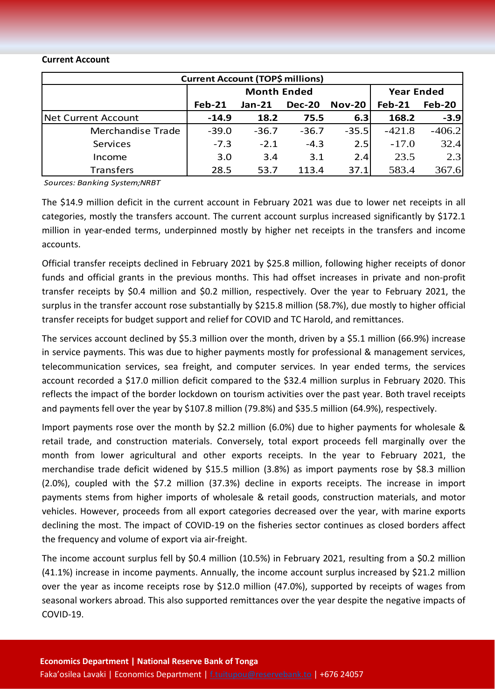#### **Current Account**

| <b>Current Account (TOP\$ millions)</b> |                    |          |               |               |                   |               |  |  |
|-----------------------------------------|--------------------|----------|---------------|---------------|-------------------|---------------|--|--|
|                                         | <b>Month Ended</b> |          |               |               | <b>Year Ended</b> |               |  |  |
|                                         | $Feb-21$           | $Jan-21$ | <b>Dec-20</b> | <b>Nov-20</b> | <b>Feb-21</b>     | <b>Feb-20</b> |  |  |
| <b>Net Current Account</b>              | $-14.9$            | 18.2     | 75.5          | 6.3           | 168.2             | $-3.9$        |  |  |
| Merchandise Trade                       | $-39.0$            | $-36.7$  | $-36.7$       | $-35.5$       | $-421.8$          | $-406.2$      |  |  |
| Services                                | $-7.3$             | $-2.1$   | $-4.3$        | 2.5           | $-17.0$           | 32.4          |  |  |
| Income                                  | 3.0                | 3.4      | 3.1           | 2.4           | 23.5              | 2.3           |  |  |
| <b>Transfers</b>                        | 28.5               | 53.7     | 113.4         | 37.1          | 583.4             | 367.6         |  |  |

*Sources: Banking System;NRBT*

The \$14.9 million deficit in the current account in February 2021 was due to lower net receipts in all categories, mostly the transfers account. The current account surplus increased significantly by \$172.1 million in year-ended terms, underpinned mostly by higher net receipts in the transfers and income accounts.

Official transfer receipts declined in February 2021 by \$25.8 million, following higher receipts of donor funds and official grants in the previous months. This had offset increases in private and non-profit transfer receipts by \$0.4 million and \$0.2 million, respectively. Over the year to February 2021, the surplus in the transfer account rose substantially by \$215.8 million (58.7%), due mostly to higher official transfer receipts for budget support and relief for COVID and TC Harold, and remittances.

The services account declined by \$5.3 million over the month, driven by a \$5.1 million (66.9%) increase in service payments. This was due to higher payments mostly for professional & management services, telecommunication services, sea freight, and computer services. In year ended terms, the services account recorded a \$17.0 million deficit compared to the \$32.4 million surplus in February 2020. This reflects the impact of the border lockdown on tourism activities over the past year. Both travel receipts and payments fell over the year by \$107.8 million (79.8%) and \$35.5 million (64.9%), respectively.

Import payments rose over the month by \$2.2 million (6.0%) due to higher payments for wholesale & retail trade, and construction materials. Conversely, total export proceeds fell marginally over the month from lower agricultural and other exports receipts. In the year to February 2021, the merchandise trade deficit widened by \$15.5 million (3.8%) as import payments rose by \$8.3 million (2.0%), coupled with the \$7.2 million (37.3%) decline in exports receipts. The increase in import payments stems from higher imports of wholesale & retail goods, construction materials, and motor vehicles. However, proceeds from all export categories decreased over the year, with marine exports declining the most. The impact of COVID-19 on the fisheries sector continues as closed borders affect the frequency and volume of export via air-freight.

The income account surplus fell by \$0.4 million (10.5%) in February 2021, resulting from a \$0.2 million (41.1%) increase in income payments. Annually, the income account surplus increased by \$21.2 million over the year as income receipts rose by \$12.0 million (47.0%), supported by receipts of wages from seasonal workers abroad. This also supported remittances over the year despite the negative impacts of COVID-19.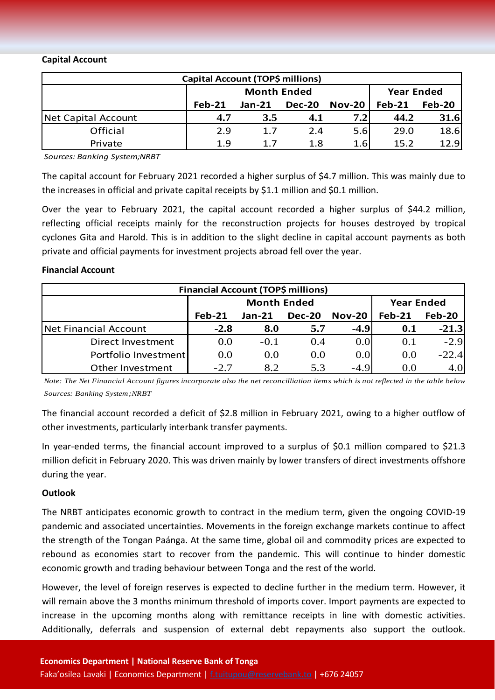#### **Capital Account**

| Capital Account (TOP\$ millions) |          |                    |                   |               |          |        |  |  |
|----------------------------------|----------|--------------------|-------------------|---------------|----------|--------|--|--|
|                                  |          | <b>Month Ended</b> | <b>Year Ended</b> |               |          |        |  |  |
|                                  | $Feb-21$ | $Jan-21$           | <b>Dec-20</b>     | <b>Nov-20</b> | $Feb-21$ | Feb-20 |  |  |
| Net Capital Account              | 4.7      | 3.5                | 4.1               | 7.21          | 44.2     | 31.6   |  |  |
| Official                         | 2.9      | 1.7                | 2.4               | 5.6           | 29.0     | 18.6   |  |  |
| Private                          | 1.9      | 1.7                | 1.8               | 1.6           | 15.2     | 12.9   |  |  |

*Sources: Banking System;NRBT*

The capital account for February 2021 recorded a higher surplus of \$4.7 million. This was mainly due to the increases in official and private capital receipts by \$1.1 million and \$0.1 million.

Over the year to February 2021, the capital account recorded a higher surplus of \$44.2 million, reflecting official receipts mainly for the reconstruction projects for houses destroyed by tropical cyclones Gita and Harold. This is in addition to the slight decline in capital account payments as both private and official payments for investment projects abroad fell over the year.

#### **Financial Account**

| Financial Account (TOP\$ millions) |          |                    |                   |          |                |               |  |  |  |
|------------------------------------|----------|--------------------|-------------------|----------|----------------|---------------|--|--|--|
|                                    |          | <b>Month Ended</b> | <b>Year Ended</b> |          |                |               |  |  |  |
|                                    | $Feb-21$ | $Jan-21$           | <b>Dec-20</b>     | $Nov-20$ | $Feb-21$       | <b>Feb-20</b> |  |  |  |
| Net Financial Account              | $-2.8$   | 8.0                | 5.7               | $-4.9$   | $\mathbf{0.1}$ | $-21.3$       |  |  |  |
| Direct Investment                  | 0.0      | $-0.1$             | 0.4               | 0.0      | 0.1            | $-2.9$        |  |  |  |
| Portfolio Investment               | 0.0      | 0.0                | 0.0               | 0.0      | 0.0            | $-22.4$       |  |  |  |
| Other Investment                   | $-2.7$   | 8.2                | 5.3               | $-4.9$   | 0.0            | 4.0           |  |  |  |

*Note: The Net Financial Account figures incorporate also the net reconcilliation items which is not reflected in the table below Sources: Banking System;NRBT*

The financial account recorded a deficit of \$2.8 million in February 2021, owing to a higher outflow of other investments, particularly interbank transfer payments.

In year-ended terms, the financial account improved to a surplus of \$0.1 million compared to \$21.3 million deficit in February 2020. This was driven mainly by lower transfers of direct investments offshore during the year.

#### **Outlook**

The NRBT anticipates economic growth to contract in the medium term, given the ongoing COVID-19 pandemic and associated uncertainties. Movements in the foreign exchange markets continue to affect the strength of the Tongan Paánga. At the same time, global oil and commodity prices are expected to rebound as economies start to recover from the pandemic. This will continue to hinder domestic economic growth and trading behaviour between Tonga and the rest of the world.

However, the level of foreign reserves is expected to decline further in the medium term. However, it will remain above the 3 months minimum threshold of imports cover. Import payments are expected to increase in the upcoming months along with remittance receipts in line with domestic activities. Additionally, deferrals and suspension of external debt repayments also support the outlook.